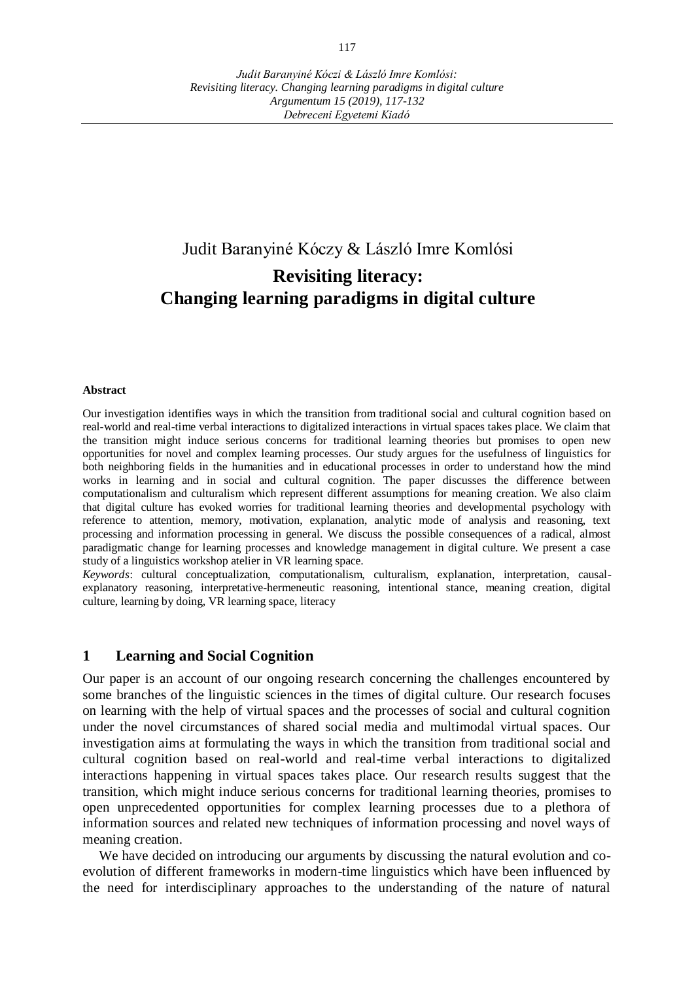# Judit Baranyiné Kóczy & László Imre Komlósi **Revisiting literacy: Changing learning paradigms in digital culture**

#### **Abstract**

Our investigation identifies ways in which the transition from traditional social and cultural cognition based on real-world and real-time verbal interactions to digitalized interactions in virtual spaces takes place. We claim that the transition might induce serious concerns for traditional learning theories but promises to open new opportunities for novel and complex learning processes. Our study argues for the usefulness of linguistics for both neighboring fields in the humanities and in educational processes in order to understand how the mind works in learning and in social and cultural cognition. The paper discusses the difference between computationalism and culturalism which represent different assumptions for meaning creation. We also claim that digital culture has evoked worries for traditional learning theories and developmental psychology with reference to attention, memory, motivation, explanation, analytic mode of analysis and reasoning, text processing and information processing in general. We discuss the possible consequences of a radical, almost paradigmatic change for learning processes and knowledge management in digital culture. We present a case study of a linguistics workshop atelier in VR learning space.

*Keywords*: cultural conceptualization, computationalism, culturalism, explanation, interpretation, causalexplanatory reasoning, interpretative-hermeneutic reasoning, intentional stance, meaning creation, digital culture, learning by doing, VR learning space, literacy

### **1 Learning and Social Cognition**

Our paper is an account of our ongoing research concerning the challenges encountered by some branches of the linguistic sciences in the times of digital culture. Our research focuses on learning with the help of virtual spaces and the processes of social and cultural cognition under the novel circumstances of shared social media and multimodal virtual spaces. Our investigation aims at formulating the ways in which the transition from traditional social and cultural cognition based on real-world and real-time verbal interactions to digitalized interactions happening in virtual spaces takes place. Our research results suggest that the transition, which might induce serious concerns for traditional learning theories, promises to open unprecedented opportunities for complex learning processes due to a plethora of information sources and related new techniques of information processing and novel ways of meaning creation.

We have decided on introducing our arguments by discussing the natural evolution and coevolution of different frameworks in modern-time linguistics which have been influenced by the need for interdisciplinary approaches to the understanding of the nature of natural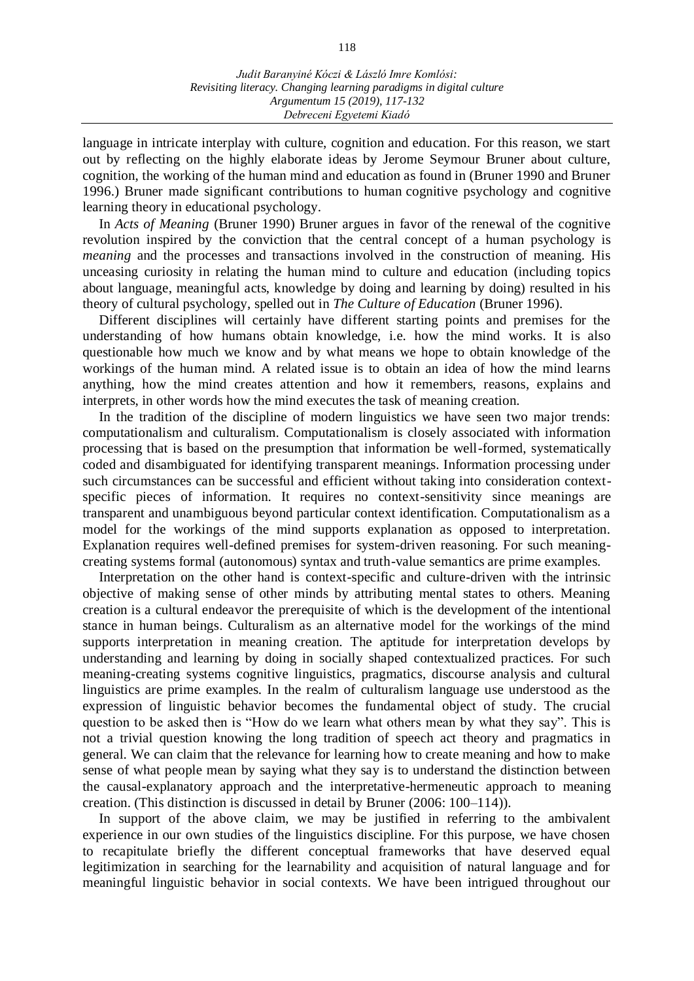language in intricate interplay with culture, cognition and education. For this reason, we start out by reflecting on the highly elaborate ideas by Jerome Seymour Bruner about culture, cognition, the working of the human mind and education as found in (Bruner 1990 and Bruner 1996.) Bruner made significant contributions to human [cognitive psychology](https://en.wikipedia.org/wiki/Cognitive_psychology) and cognitive learning theory in [educational psychology.](https://en.wikipedia.org/wiki/Educational_psychology)

In *Acts of Meaning* (Bruner 1990) Bruner argues in favor of the renewal of the cognitive revolution inspired by the conviction that the central concept of a human psychology is *meaning* and the processes and transactions involved in the construction of meaning. His unceasing curiosity in relating the human mind to culture and education (including topics about language, meaningful acts, knowledge by doing and learning by doing) resulted in his theory of cultural psychology, spelled out in *The Culture of Education* (Bruner 1996).

Different disciplines will certainly have different starting points and premises for the understanding of how humans obtain knowledge, i.e. how the mind works. It is also questionable how much we know and by what means we hope to obtain knowledge of the workings of the human mind. A related issue is to obtain an idea of how the mind learns anything, how the mind creates attention and how it remembers, reasons, explains and interprets, in other words how the mind executes the task of meaning creation.

In the tradition of the discipline of modern linguistics we have seen two major trends: computationalism and culturalism. Computationalism is closely associated with information processing that is based on the presumption that information be well-formed, systematically coded and disambiguated for identifying transparent meanings. Information processing under such circumstances can be successful and efficient without taking into consideration contextspecific pieces of information. It requires no context-sensitivity since meanings are transparent and unambiguous beyond particular context identification. Computationalism as a model for the workings of the mind supports explanation as opposed to interpretation. Explanation requires well-defined premises for system-driven reasoning. For such meaningcreating systems formal (autonomous) syntax and truth-value semantics are prime examples.

Interpretation on the other hand is context-specific and culture-driven with the intrinsic objective of making sense of other minds by attributing mental states to others. Meaning creation is a cultural endeavor the prerequisite of which is the development of the intentional stance in human beings. Culturalism as an alternative model for the workings of the mind supports interpretation in meaning creation. The aptitude for interpretation develops by understanding and learning by doing in socially shaped contextualized practices. For such meaning-creating systems cognitive linguistics, pragmatics, discourse analysis and cultural linguistics are prime examples. In the realm of culturalism language use understood as the expression of linguistic behavior becomes the fundamental object of study. The crucial question to be asked then is "How do we learn what others mean by what they say". This is not a trivial question knowing the long tradition of speech act theory and pragmatics in general. We can claim that the relevance for learning how to create meaning and how to make sense of what people mean by saying what they say is to understand the distinction between the causal-explanatory approach and the interpretative-hermeneutic approach to meaning creation. (This distinction is discussed in detail by Bruner (2006: 100–114)).

In support of the above claim, we may be justified in referring to the ambivalent experience in our own studies of the linguistics discipline. For this purpose, we have chosen to recapitulate briefly the different conceptual frameworks that have deserved equal legitimization in searching for the learnability and acquisition of natural language and for meaningful linguistic behavior in social contexts. We have been intrigued throughout our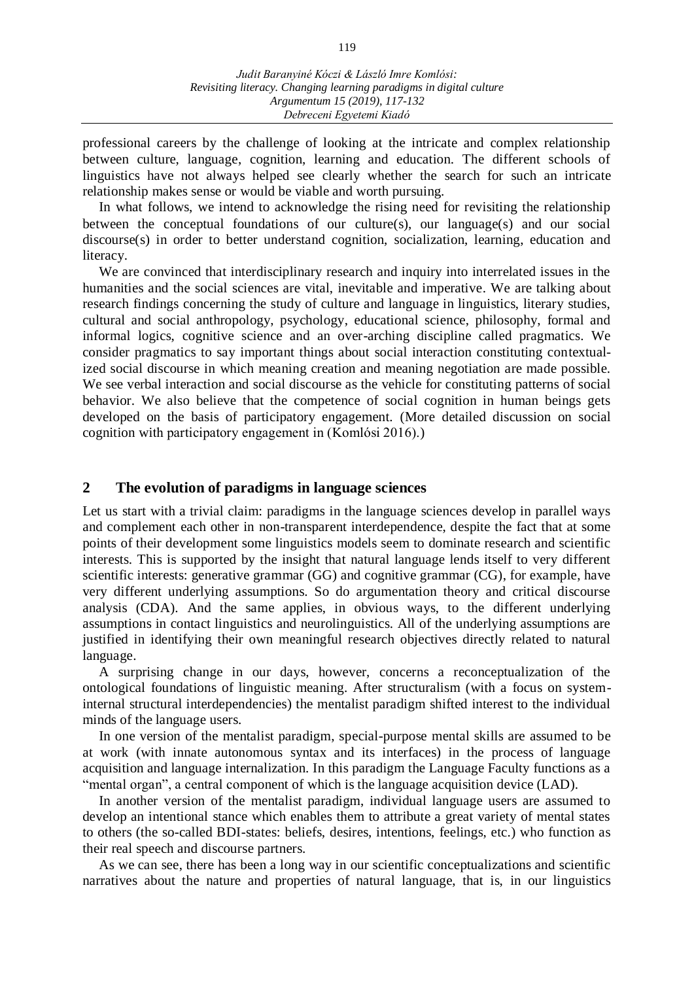professional careers by the challenge of looking at the intricate and complex relationship between culture, language, cognition, learning and education. The different schools of linguistics have not always helped see clearly whether the search for such an intricate relationship makes sense or would be viable and worth pursuing.

In what follows, we intend to acknowledge the rising need for revisiting the relationship between the conceptual foundations of our culture(s), our language(s) and our social discourse(s) in order to better understand cognition, socialization, learning, education and literacy.

We are convinced that interdisciplinary research and inquiry into interrelated issues in the humanities and the social sciences are vital, inevitable and imperative. We are talking about research findings concerning the study of culture and language in linguistics, literary studies, cultural and social anthropology, psychology, educational science, philosophy, formal and informal logics, cognitive science and an over-arching discipline called pragmatics. We consider pragmatics to say important things about social interaction constituting contextualized social discourse in which meaning creation and meaning negotiation are made possible. We see verbal interaction and social discourse as the vehicle for constituting patterns of social behavior. We also believe that the competence of social cognition in human beings gets developed on the basis of participatory engagement. (More detailed discussion on social cognition with participatory engagement in (Komlósi 2016).)

### **2 The evolution of paradigms in language sciences**

Let us start with a trivial claim: paradigms in the language sciences develop in parallel ways and complement each other in non-transparent interdependence, despite the fact that at some points of their development some linguistics models seem to dominate research and scientific interests. This is supported by the insight that natural language lends itself to very different scientific interests: generative grammar (GG) and cognitive grammar (CG), for example, have very different underlying assumptions. So do argumentation theory and critical discourse analysis (CDA). And the same applies, in obvious ways, to the different underlying assumptions in contact linguistics and neurolinguistics. All of the underlying assumptions are justified in identifying their own meaningful research objectives directly related to natural language.

A surprising change in our days, however, concerns a reconceptualization of the ontological foundations of linguistic meaning. After structuralism (with a focus on systeminternal structural interdependencies) the mentalist paradigm shifted interest to the individual minds of the language users.

In one version of the mentalist paradigm, special-purpose mental skills are assumed to be at work (with innate autonomous syntax and its interfaces) in the process of language acquisition and language internalization. In this paradigm the Language Faculty functions as a "mental organ", a central component of which is the language acquisition device (LAD).

In another version of the mentalist paradigm, individual language users are assumed to develop an intentional stance which enables them to attribute a great variety of mental states to others (the so-called BDI-states: beliefs, desires, intentions, feelings, etc.) who function as their real speech and discourse partners.

As we can see, there has been a long way in our scientific conceptualizations and scientific narratives about the nature and properties of natural language, that is, in our linguistics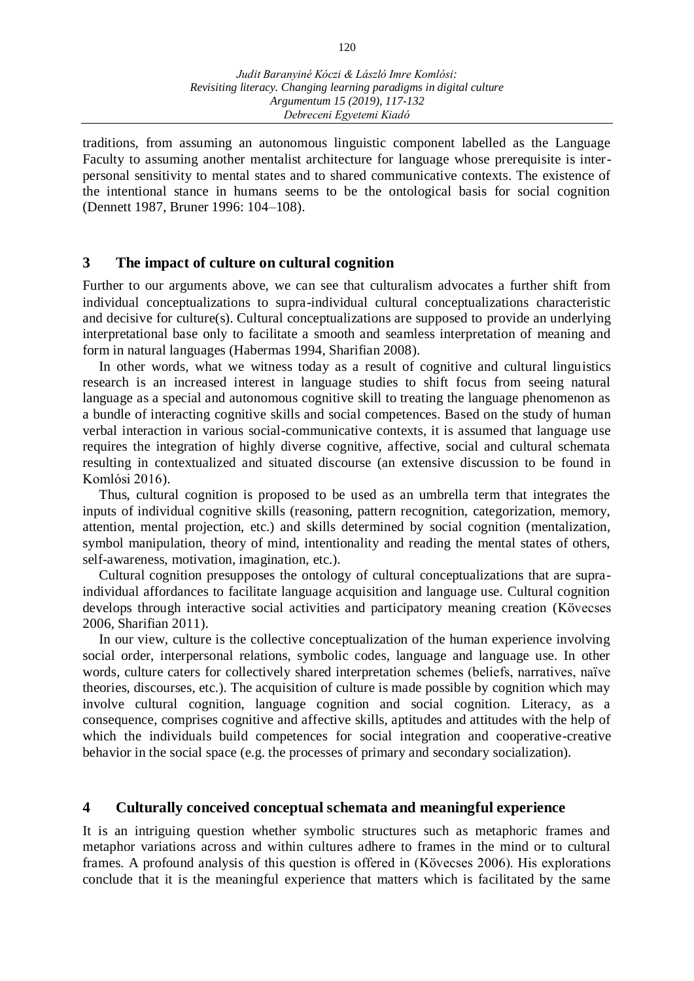traditions, from assuming an autonomous linguistic component labelled as the Language Faculty to assuming another mentalist architecture for language whose prerequisite is interpersonal sensitivity to mental states and to shared communicative contexts. The existence of the intentional stance in humans seems to be the ontological basis for social cognition (Dennett 1987, Bruner 1996: 104–108).

### **3 The impact of culture on cultural cognition**

Further to our arguments above, we can see that culturalism advocates a further shift from individual conceptualizations to supra-individual cultural conceptualizations characteristic and decisive for culture(s). Cultural conceptualizations are supposed to provide an underlying interpretational base only to facilitate a smooth and seamless interpretation of meaning and form in natural languages (Habermas 1994, Sharifian 2008).

In other words, what we witness today as a result of cognitive and cultural linguistics research is an increased interest in language studies to shift focus from seeing natural language as a special and autonomous cognitive skill to treating the language phenomenon as a bundle of interacting cognitive skills and social competences. Based on the study of human verbal interaction in various social-communicative contexts, it is assumed that language use requires the integration of highly diverse cognitive, affective, social and cultural schemata resulting in contextualized and situated discourse (an extensive discussion to be found in Komlósi 2016).

Thus, cultural cognition is proposed to be used as an umbrella term that integrates the inputs of individual cognitive skills (reasoning, pattern recognition, categorization, memory, attention, mental projection, etc.) and skills determined by social cognition (mentalization, symbol manipulation, theory of mind, intentionality and reading the mental states of others, self-awareness, motivation, imagination, etc.).

Cultural cognition presupposes the ontology of cultural conceptualizations that are supraindividual affordances to facilitate language acquisition and language use. Cultural cognition develops through interactive social activities and participatory meaning creation (Kövecses 2006, Sharifian 2011).

In our view, culture is the collective conceptualization of the human experience involving social order, interpersonal relations, symbolic codes, language and language use. In other words, culture caters for collectively shared interpretation schemes (beliefs, narratives, naïve theories, discourses, etc.). The acquisition of culture is made possible by cognition which may involve cultural cognition, language cognition and social cognition. Literacy, as a consequence, comprises cognitive and affective skills, aptitudes and attitudes with the help of which the individuals build competences for social integration and cooperative-creative behavior in the social space (e.g. the processes of primary and secondary socialization).

# **4 Culturally conceived conceptual schemata and meaningful experience**

It is an intriguing question whether symbolic structures such as metaphoric frames and metaphor variations across and within cultures adhere to frames in the mind or to cultural frames. A profound analysis of this question is offered in (Kövecses 2006). His explorations conclude that it is the meaningful experience that matters which is facilitated by the same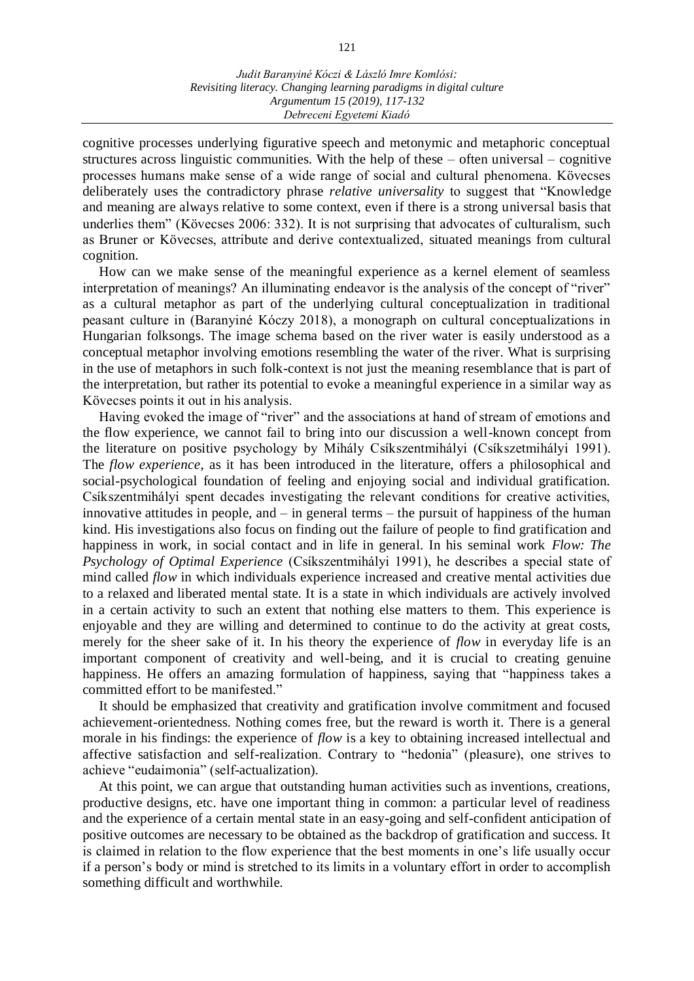cognitive processes underlying figurative speech and metonymic and metaphoric conceptual structures across linguistic communities. With the help of these – often universal – cognitive processes humans make sense of a wide range of social and cultural phenomena. Kövecses deliberately uses the contradictory phrase *relative universality* to suggest that "Knowledge and meaning are always relative to some context, even if there is a strong universal basis that underlies them" (Kövecses 2006: 332). It is not surprising that advocates of culturalism, such as Bruner or Kövecses, attribute and derive contextualized, situated meanings from cultural cognition.

How can we make sense of the meaningful experience as a kernel element of seamless interpretation of meanings? An illuminating endeavor is the analysis of the concept of "river" as a cultural metaphor as part of the underlying cultural conceptualization in traditional peasant culture in (Baranyiné Kóczy 2018), a monograph on cultural conceptualizations in Hungarian folksongs. The image schema based on the river water is easily understood as a conceptual metaphor involving emotions resembling the water of the river. What is surprising in the use of metaphors in such folk-context is not just the meaning resemblance that is part of the interpretation, but rather its potential to evoke a meaningful experience in a similar way as Kövecses points it out in his analysis.

Having evoked the image of "river" and the associations at hand of stream of emotions and the flow experience, we cannot fail to bring into our discussion a well-known concept from the literature on positive psychology by Mihály Csíkszentmihályi (Csíkszetmihályi 1991). The *flow experience*, as it has been introduced in the literature, offers a philosophical and social-psychological foundation of feeling and enjoying social and individual gratification. Csíkszentmihályi spent decades investigating the relevant conditions for creative activities, innovative attitudes in people, and – in general terms – the pursuit of happiness of the human kind. His investigations also focus on finding out the failure of people to find gratification and happiness in work, in social contact and in life in general. In his seminal work *Flow: The Psychology of Optimal Experience* (Csíkszentmihályi 1991), he describes a special state of mind called *flow* in which individuals experience increased and creative mental activities due to a relaxed and liberated mental state. It is a state in which individuals are actively involved in a certain activity to such an extent that nothing else matters to them. This experience is enjoyable and they are willing and determined to continue to do the activity at great costs, merely for the sheer sake of it. In his theory the experience of *flow* in everyday life is an important component of creativity and well-being, and it is crucial to creating genuine happiness. He offers an amazing formulation of happiness, saying that "happiness takes a committed effort to be manifested."

It should be emphasized that creativity and gratification involve commitment and focused achievement-orientedness. Nothing comes free, but the reward is worth it. There is a general morale in his findings: the experience of *flow* is a key to obtaining increased intellectual and affective satisfaction and self-realization. Contrary to "hedonia" (pleasure), one strives to achieve "eudaimonia" (self-actualization).

At this point, we can argue that outstanding human activities such as inventions, creations, productive designs, etc. have one important thing in common: a particular level of readiness and the experience of a certain mental state in an easy-going and self-confident anticipation of positive outcomes are necessary to be obtained as the backdrop of gratification and success. It is claimed in relation to the flow experience that the best moments in one's life usually occur if a person's body or mind is stretched to its limits in a voluntary effort in order to accomplish something difficult and worthwhile.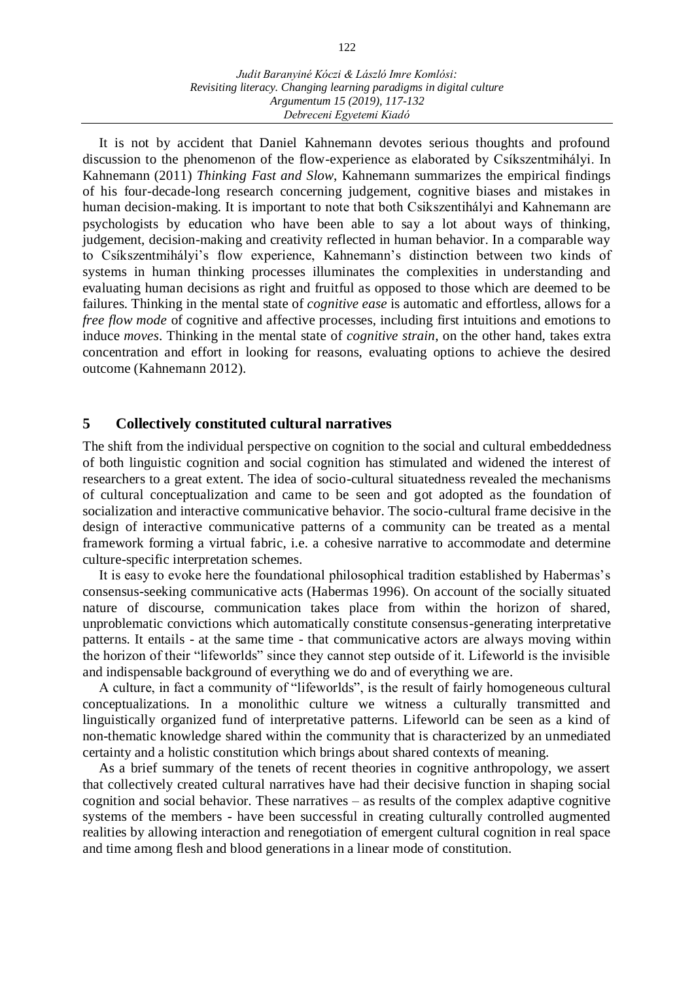It is not by accident that Daniel Kahnemann devotes serious thoughts and profound discussion to the phenomenon of the flow-experience as elaborated by Csíkszentmihályi. In Kahnemann (2011) *Thinking Fast and Slow*, Kahnemann summarizes the empirical findings of his four-decade-long research concerning judgement, cognitive biases and mistakes in human decision-making. It is important to note that both Csikszentihályi and Kahnemann are psychologists by education who have been able to say a lot about ways of thinking, judgement, decision-making and creativity reflected in human behavior. In a comparable way to Csíkszentmihályi's flow experience, Kahnemann's distinction between two kinds of systems in human thinking processes illuminates the complexities in understanding and evaluating human decisions as right and fruitful as opposed to those which are deemed to be failures. Thinking in the mental state of *cognitive ease* is automatic and effortless, allows for a *free flow mode* of cognitive and affective processes, including first intuitions and emotions to induce *moves*. Thinking in the mental state of *cognitive strain*, on the other hand, takes extra concentration and effort in looking for reasons, evaluating options to achieve the desired outcome (Kahnemann 2012).

## **5 Collectively constituted cultural narratives**

The shift from the individual perspective on cognition to the social and cultural embeddedness of both linguistic cognition and social cognition has stimulated and widened the interest of researchers to a great extent. The idea of socio-cultural situatedness revealed the mechanisms of cultural conceptualization and came to be seen and got adopted as the foundation of socialization and interactive communicative behavior. The socio-cultural frame decisive in the design of interactive communicative patterns of a community can be treated as a mental framework forming a virtual fabric, i.e. a cohesive narrative to accommodate and determine culture-specific interpretation schemes.

It is easy to evoke here the foundational philosophical tradition established by Habermas's consensus-seeking communicative acts (Habermas 1996). On account of the socially situated nature of discourse, communication takes place from within the horizon of shared, unproblematic convictions which automatically constitute consensus-generating interpretative patterns. It entails - at the same time - that communicative actors are always moving within the horizon of their "lifeworlds" since they cannot step outside of it. Lifeworld is the invisible and indispensable background of everything we do and of everything we are.

A culture, in fact a community of "lifeworlds", is the result of fairly homogeneous cultural conceptualizations. In a monolithic culture we witness a culturally transmitted and linguistically organized fund of interpretative patterns. Lifeworld can be seen as a kind of non-thematic knowledge shared within the community that is characterized by an unmediated certainty and a holistic constitution which brings about shared contexts of meaning.

As a brief summary of the tenets of recent theories in cognitive anthropology, we assert that collectively created cultural narratives have had their decisive function in shaping social cognition and social behavior. These narratives – as results of the complex adaptive cognitive systems of the members - have been successful in creating culturally controlled augmented realities by allowing interaction and renegotiation of emergent cultural cognition in real space and time among flesh and blood generations in a linear mode of constitution.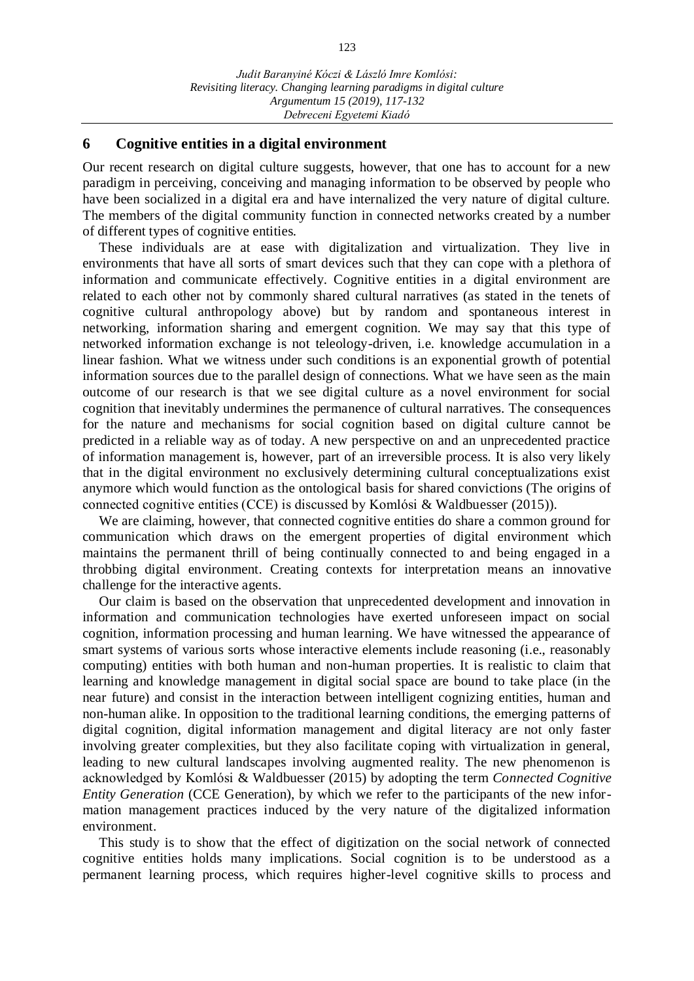## **6 Cognitive entities in a digital environment**

Our recent research on digital culture suggests, however, that one has to account for a new paradigm in perceiving, conceiving and managing information to be observed by people who have been socialized in a digital era and have internalized the very nature of digital culture. The members of the digital community function in connected networks created by a number of different types of cognitive entities.

These individuals are at ease with digitalization and virtualization. They live in environments that have all sorts of smart devices such that they can cope with a plethora of information and communicate effectively. Cognitive entities in a digital environment are related to each other not by commonly shared cultural narratives (as stated in the tenets of cognitive cultural anthropology above) but by random and spontaneous interest in networking, information sharing and emergent cognition. We may say that this type of networked information exchange is not teleology-driven, i.e. knowledge accumulation in a linear fashion. What we witness under such conditions is an exponential growth of potential information sources due to the parallel design of connections. What we have seen as the main outcome of our research is that we see digital culture as a novel environment for social cognition that inevitably undermines the permanence of cultural narratives. The consequences for the nature and mechanisms for social cognition based on digital culture cannot be predicted in a reliable way as of today. A new perspective on and an unprecedented practice of information management is, however, part of an irreversible process. It is also very likely that in the digital environment no exclusively determining cultural conceptualizations exist anymore which would function as the ontological basis for shared convictions (The origins of connected cognitive entities (CCE) is discussed by Komlósi & Waldbuesser (2015)).

We are claiming, however, that connected cognitive entities do share a common ground for communication which draws on the emergent properties of digital environment which maintains the permanent thrill of being continually connected to and being engaged in a throbbing digital environment. Creating contexts for interpretation means an innovative challenge for the interactive agents.

Our claim is based on the observation that unprecedented development and innovation in information and communication technologies have exerted unforeseen impact on social cognition, information processing and human learning. We have witnessed the appearance of smart systems of various sorts whose interactive elements include reasoning (i.e., reasonably computing) entities with both human and non-human properties. It is realistic to claim that learning and knowledge management in digital social space are bound to take place (in the near future) and consist in the interaction between intelligent cognizing entities, human and non-human alike. In opposition to the traditional learning conditions, the emerging patterns of digital cognition, digital information management and digital literacy are not only faster involving greater complexities, but they also facilitate coping with virtualization in general, leading to new cultural landscapes involving augmented reality. The new phenomenon is acknowledged by Komlósi & Waldbuesser (2015) by adopting the term *Connected Cognitive Entity Generation* (CCE Generation), by which we refer to the participants of the new information management practices induced by the very nature of the digitalized information environment.

This study is to show that the effect of digitization on the social network of connected cognitive entities holds many implications. Social cognition is to be understood as a permanent learning process, which requires higher-level cognitive skills to process and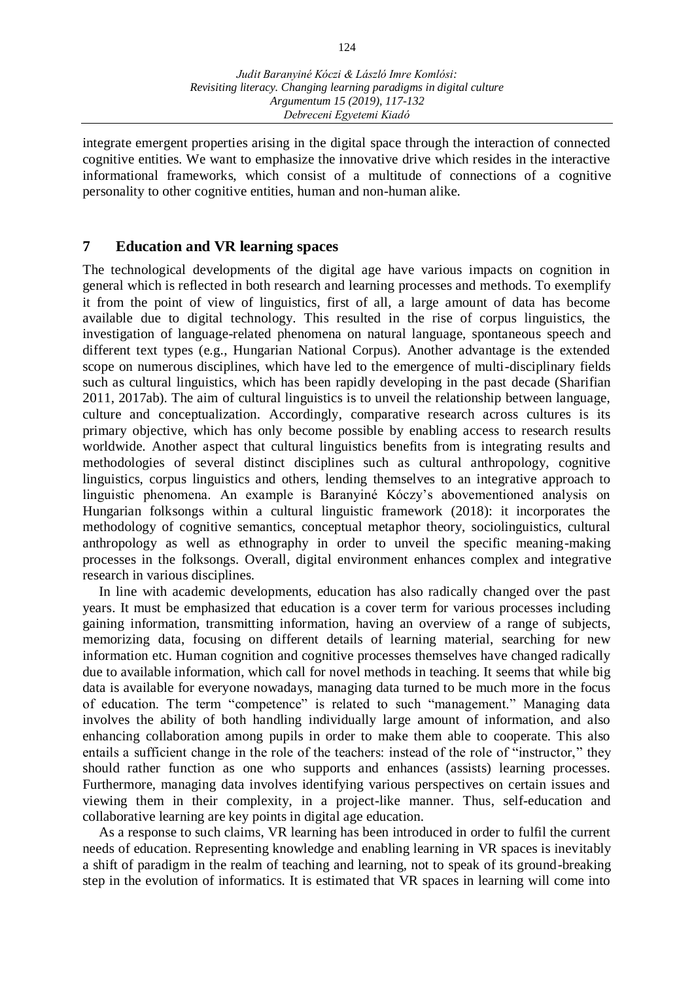integrate emergent properties arising in the digital space through the interaction of connected cognitive entities. We want to emphasize the innovative drive which resides in the interactive informational frameworks, which consist of a multitude of connections of a cognitive personality to other cognitive entities, human and non-human alike.

# **7 Education and VR learning spaces**

The technological developments of the digital age have various impacts on cognition in general which is reflected in both research and learning processes and methods. To exemplify it from the point of view of linguistics, first of all, a large amount of data has become available due to digital technology. This resulted in the rise of corpus linguistics, the investigation of language-related phenomena on natural language, spontaneous speech and different text types (e.g., Hungarian National Corpus). Another advantage is the extended scope on numerous disciplines, which have led to the emergence of multi-disciplinary fields such as cultural linguistics, which has been rapidly developing in the past decade (Sharifian 2011, 2017ab). The aim of cultural linguistics is to unveil the relationship between language, culture and conceptualization. Accordingly, comparative research across cultures is its primary objective, which has only become possible by enabling access to research results worldwide. Another aspect that cultural linguistics benefits from is integrating results and methodologies of several distinct disciplines such as cultural anthropology, cognitive linguistics, corpus linguistics and others, lending themselves to an integrative approach to linguistic phenomena. An example is Baranyiné Kóczy's abovementioned analysis on Hungarian folksongs within a cultural linguistic framework (2018): it incorporates the methodology of cognitive semantics, conceptual metaphor theory, sociolinguistics, cultural anthropology as well as ethnography in order to unveil the specific meaning-making processes in the folksongs. Overall, digital environment enhances complex and integrative research in various disciplines.

In line with academic developments, education has also radically changed over the past years. It must be emphasized that education is a cover term for various processes including gaining information, transmitting information, having an overview of a range of subjects, memorizing data, focusing on different details of learning material, searching for new information etc. Human cognition and cognitive processes themselves have changed radically due to available information, which call for novel methods in teaching. It seems that while big data is available for everyone nowadays, managing data turned to be much more in the focus of education. The term "competence" is related to such "management." Managing data involves the ability of both handling individually large amount of information, and also enhancing collaboration among pupils in order to make them able to cooperate. This also entails a sufficient change in the role of the teachers: instead of the role of "instructor," they should rather function as one who supports and enhances (assists) learning processes. Furthermore, managing data involves identifying various perspectives on certain issues and viewing them in their complexity, in a project-like manner. Thus, self-education and collaborative learning are key points in digital age education.

As a response to such claims, VR learning has been introduced in order to fulfil the current needs of education. Representing knowledge and enabling learning in VR spaces is inevitably a shift of paradigm in the realm of teaching and learning, not to speak of its ground-breaking step in the evolution of informatics. It is estimated that VR spaces in learning will come into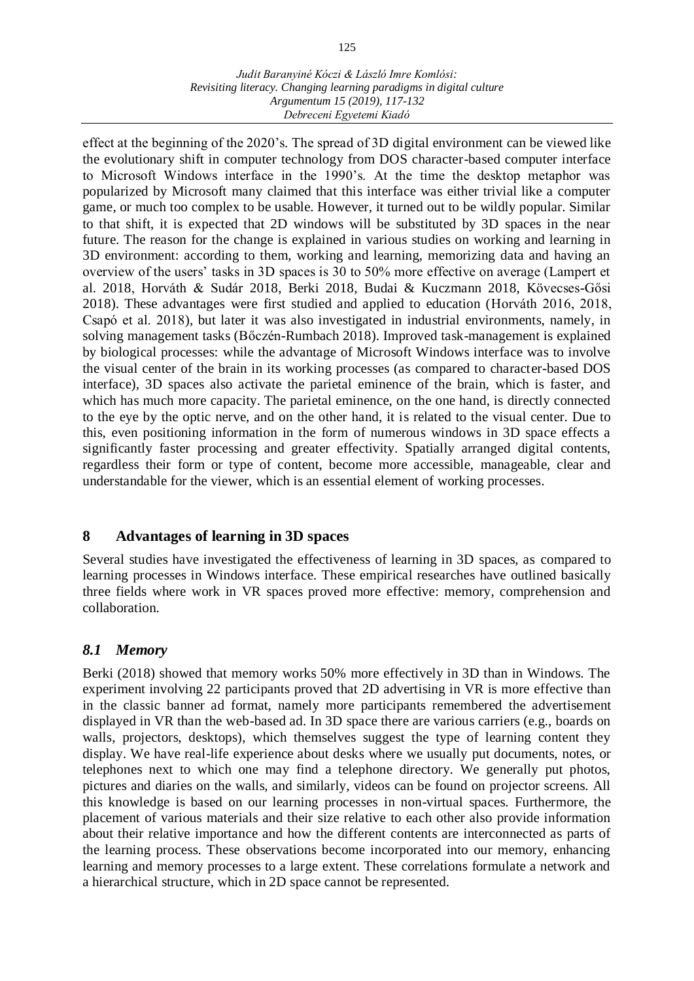#### *Judit Baranyiné Kóczi & László Imre Komlósi: Revisiting literacy. Changing learning paradigms in digital culture Argumentum 15 (2019), 117-132 Debreceni Egyetemi Kiadó*

effect at the beginning of the 2020's. The spread of 3D digital environment can be viewed like the evolutionary shift in computer technology from DOS character-based computer interface to Microsoft Windows interface in the 1990's. At the time the desktop metaphor was popularized by Microsoft many claimed that this interface was either trivial like a computer game, or much too complex to be usable. However, it turned out to be wildly popular. Similar to that shift, it is expected that 2D windows will be substituted by 3D spaces in the near future. The reason for the change is explained in various studies on working and learning in 3D environment: according to them, working and learning, memorizing data and having an overview of the users' tasks in 3D spaces is 30 to 50% more effective on average (Lampert et al. 2018, Horváth & Sudár 2018, Berki 2018, Budai & Kuczmann 2018, Kövecses-Gősi 2018). These advantages were first studied and applied to education (Horváth 2016, 2018, Csapó et al. 2018), but later it was also investigated in industrial environments, namely, in solving management tasks (Bőczén-Rumbach 2018). Improved task-management is explained by biological processes: while the advantage of Microsoft Windows interface was to involve the visual center of the brain in its working processes (as compared to character-based DOS interface), 3D spaces also activate the parietal eminence of the brain, which is faster, and which has much more capacity. The parietal eminence, on the one hand, is directly connected to the eye by the optic nerve, and on the other hand, it is related to the visual center. Due to this, even positioning information in the form of numerous windows in 3D space effects a significantly faster processing and greater effectivity. Spatially arranged digital contents, regardless their form or type of content, become more accessible, manageable, clear and understandable for the viewer, which is an essential element of working processes.

# **8 Advantages of learning in 3D spaces**

Several studies have investigated the effectiveness of learning in 3D spaces, as compared to learning processes in Windows interface. These empirical researches have outlined basically three fields where work in VR spaces proved more effective: memory, comprehension and collaboration.

# *8.1 Memory*

Berki (2018) showed that memory works 50% more effectively in 3D than in Windows. The experiment involving 22 participants proved that 2D advertising in VR is more effective than in the classic banner ad format, namely more participants remembered the advertisement displayed in VR than the web-based ad. In 3D space there are various carriers (e.g., boards on walls, projectors, desktops), which themselves suggest the type of learning content they display. We have real-life experience about desks where we usually put documents, notes, or telephones next to which one may find a telephone directory. We generally put photos, pictures and diaries on the walls, and similarly, videos can be found on projector screens. All this knowledge is based on our learning processes in non-virtual spaces. Furthermore, the placement of various materials and their size relative to each other also provide information about their relative importance and how the different contents are interconnected as parts of the learning process. These observations become incorporated into our memory, enhancing learning and memory processes to a large extent. These correlations formulate a network and a hierarchical structure, which in 2D space cannot be represented.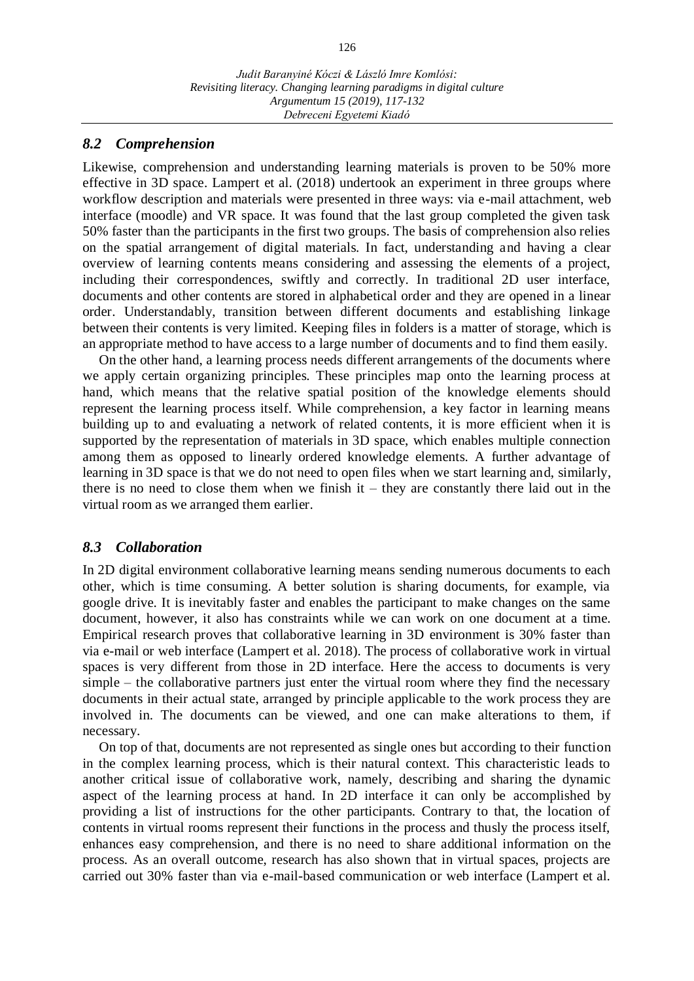### *8.2 Comprehension*

Likewise, comprehension and understanding learning materials is proven to be 50% more effective in 3D space. Lampert et al. (2018) undertook an experiment in three groups where workflow description and materials were presented in three ways: via e-mail attachment, web interface (moodle) and VR space. It was found that the last group completed the given task 50% faster than the participants in the first two groups. The basis of comprehension also relies on the spatial arrangement of digital materials. In fact, understanding and having a clear overview of learning contents means considering and assessing the elements of a project, including their correspondences, swiftly and correctly. In traditional 2D user interface, documents and other contents are stored in alphabetical order and they are opened in a linear order. Understandably, transition between different documents and establishing linkage between their contents is very limited. Keeping files in folders is a matter of storage, which is an appropriate method to have access to a large number of documents and to find them easily.

On the other hand, a learning process needs different arrangements of the documents where we apply certain organizing principles. These principles map onto the learning process at hand, which means that the relative spatial position of the knowledge elements should represent the learning process itself. While comprehension, a key factor in learning means building up to and evaluating a network of related contents, it is more efficient when it is supported by the representation of materials in 3D space, which enables multiple connection among them as opposed to linearly ordered knowledge elements. A further advantage of learning in 3D space is that we do not need to open files when we start learning and, similarly, there is no need to close them when we finish it – they are constantly there laid out in the virtual room as we arranged them earlier.

### *8.3 Collaboration*

In 2D digital environment collaborative learning means sending numerous documents to each other, which is time consuming. A better solution is sharing documents, for example, via google drive. It is inevitably faster and enables the participant to make changes on the same document, however, it also has constraints while we can work on one document at a time. Empirical research proves that collaborative learning in 3D environment is 30% faster than via e-mail or web interface (Lampert et al. 2018). The process of collaborative work in virtual spaces is very different from those in 2D interface. Here the access to documents is very simple – the collaborative partners just enter the virtual room where they find the necessary documents in their actual state, arranged by principle applicable to the work process they are involved in. The documents can be viewed, and one can make alterations to them, if necessary.

On top of that, documents are not represented as single ones but according to their function in the complex learning process, which is their natural context. This characteristic leads to another critical issue of collaborative work, namely, describing and sharing the dynamic aspect of the learning process at hand. In 2D interface it can only be accomplished by providing a list of instructions for the other participants. Contrary to that, the location of contents in virtual rooms represent their functions in the process and thusly the process itself, enhances easy comprehension, and there is no need to share additional information on the process. As an overall outcome, research has also shown that in virtual spaces, projects are carried out 30% faster than via e-mail-based communication or web interface (Lampert et al.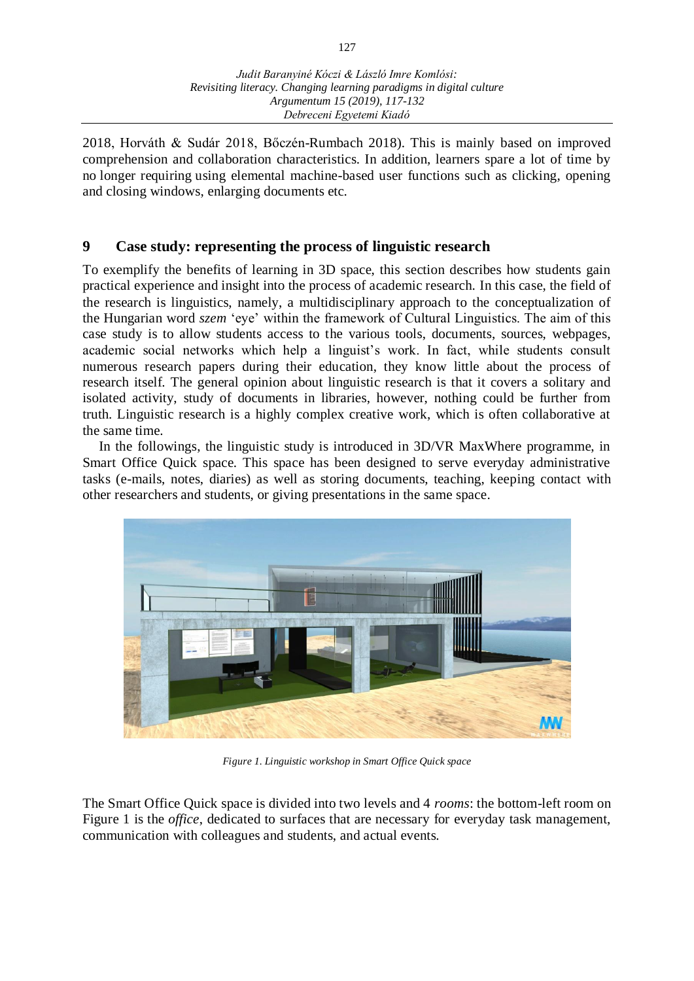2018, Horváth & Sudár 2018, Bőczén-Rumbach 2018). This is mainly based on improved comprehension and collaboration characteristics. In addition, learners spare a lot of time by no longer requiring using elemental machine-based user functions such as clicking, opening and closing windows, enlarging documents etc.

# **9 Case study: representing the process of linguistic research**

To exemplify the benefits of learning in 3D space, this section describes how students gain practical experience and insight into the process of academic research. In this case, the field of the research is linguistics, namely, a multidisciplinary approach to the conceptualization of the Hungarian word *szem* 'eye' within the framework of Cultural Linguistics. The aim of this case study is to allow students access to the various tools, documents, sources, webpages, academic social networks which help a linguist's work. In fact, while students consult numerous research papers during their education, they know little about the process of research itself. The general opinion about linguistic research is that it covers a solitary and isolated activity, study of documents in libraries, however, nothing could be further from truth. Linguistic research is a highly complex creative work, which is often collaborative at the same time.

In the followings, the linguistic study is introduced in 3D/VR MaxWhere programme, in Smart Office Quick space. This space has been designed to serve everyday administrative tasks (e-mails, notes, diaries) as well as storing documents, teaching, keeping contact with other researchers and students, or giving presentations in the same space.



*Figure 1. Linguistic workshop in Smart Office Quick space*

The Smart Office Quick space is divided into two levels and 4 *rooms*: the bottom-left room on Figure 1 is the *office*, dedicated to surfaces that are necessary for everyday task management, communication with colleagues and students, and actual events.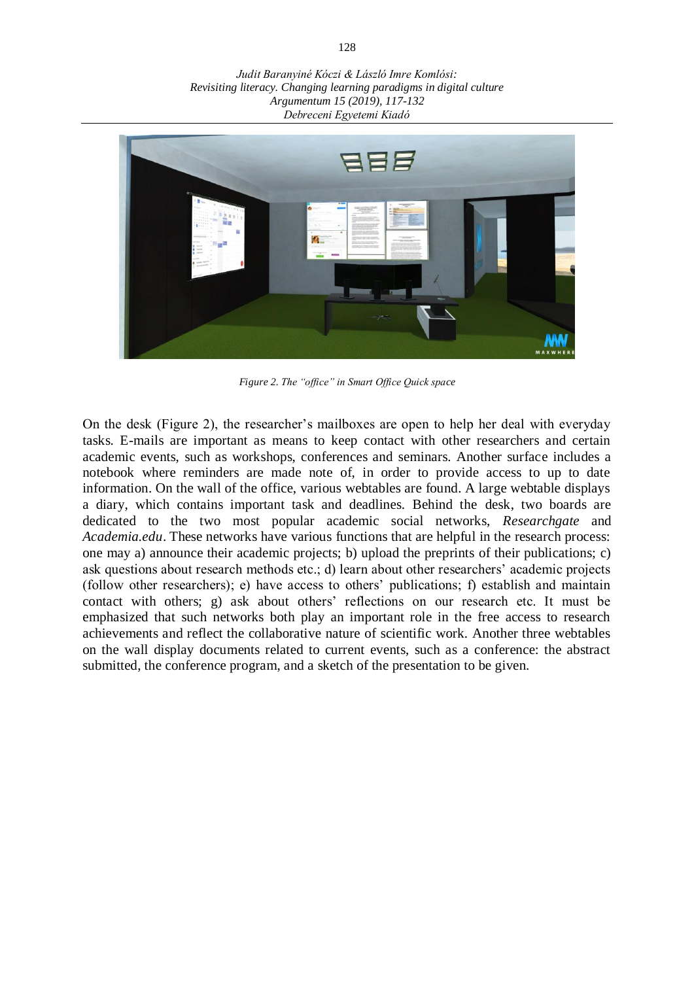*Judit Baranyiné Kóczi & László Imre Komlósi: Revisiting literacy. Changing learning paradigms in digital culture Argumentum 15 (2019), 117-132 Debreceni Egyetemi Kiadó*



*Figure 2. The "office" in Smart Office Quick space*

On the desk (Figure 2), the researcher's mailboxes are open to help her deal with everyday tasks. E-mails are important as means to keep contact with other researchers and certain academic events, such as workshops, conferences and seminars. Another surface includes a notebook where reminders are made note of, in order to provide access to up to date information. On the wall of the office, various webtables are found. A large webtable displays a diary, which contains important task and deadlines. Behind the desk, two boards are dedicated to the two most popular academic social networks, *Researchgate* and *Academia.edu*. These networks have various functions that are helpful in the research process: one may a) announce their academic projects; b) upload the preprints of their publications; c) ask questions about research methods etc.; d) learn about other researchers' academic projects (follow other researchers); e) have access to others' publications; f) establish and maintain contact with others; g) ask about others' reflections on our research etc. It must be emphasized that such networks both play an important role in the free access to research achievements and reflect the collaborative nature of scientific work. Another three webtables on the wall display documents related to current events, such as a conference: the abstract submitted, the conference program, and a sketch of the presentation to be given.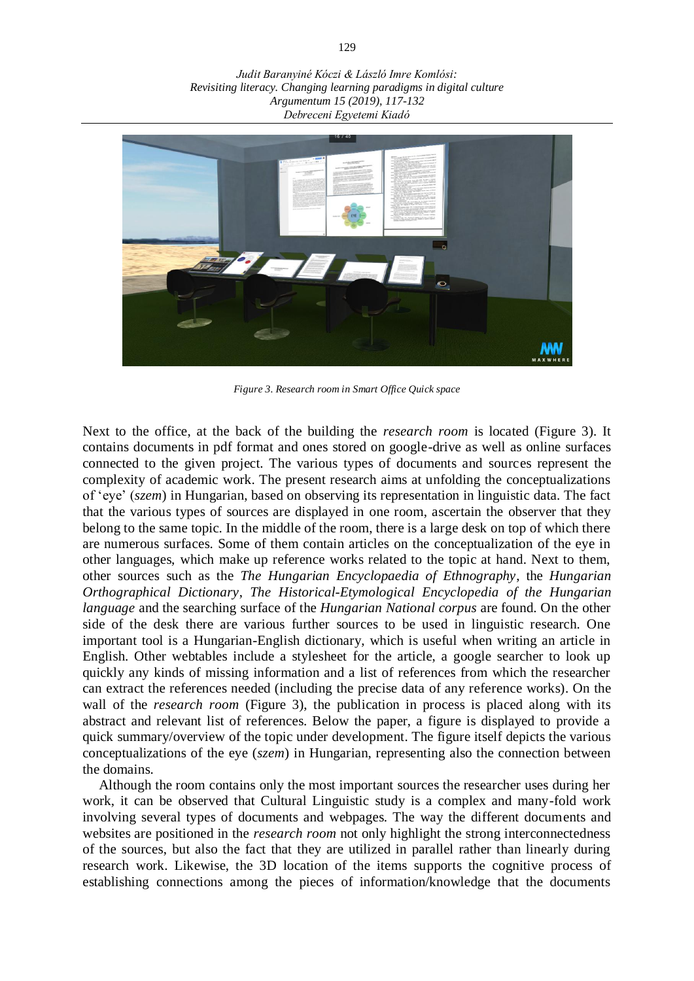*Judit Baranyiné Kóczi & László Imre Komlósi: Revisiting literacy. Changing learning paradigms in digital culture Argumentum 15 (2019), 117-132 Debreceni Egyetemi Kiadó*



*Figure 3. Research room in Smart Office Quick space*

Next to the office, at the back of the building the *research room* is located (Figure 3). It contains documents in pdf format and ones stored on google-drive as well as online surfaces connected to the given project. The various types of documents and sources represent the complexity of academic work. The present research aims at unfolding the conceptualizations of 'eye' (*szem*) in Hungarian, based on observing its representation in linguistic data. The fact that the various types of sources are displayed in one room, ascertain the observer that they belong to the same topic. In the middle of the room, there is a large desk on top of which there are numerous surfaces. Some of them contain articles on the conceptualization of the eye in other languages, which make up reference works related to the topic at hand. Next to them, other sources such as the *The Hungarian Encyclopaedia of Ethnography*, the *Hungarian Orthographical Dictionary*, *The Historical-Etymological Encyclopedia of the Hungarian language* and the searching surface of the *Hungarian National corpus* are found. On the other side of the desk there are various further sources to be used in linguistic research. One important tool is a Hungarian-English dictionary, which is useful when writing an article in English. Other webtables include a stylesheet for the article, a google searcher to look up quickly any kinds of missing information and a list of references from which the researcher can extract the references needed (including the precise data of any reference works). On the wall of the *research room* (Figure 3), the publication in process is placed along with its abstract and relevant list of references. Below the paper, a figure is displayed to provide a quick summary/overview of the topic under development. The figure itself depicts the various conceptualizations of the eye (*szem*) in Hungarian, representing also the connection between the domains.

Although the room contains only the most important sources the researcher uses during her work, it can be observed that Cultural Linguistic study is a complex and many-fold work involving several types of documents and webpages. The way the different documents and websites are positioned in the *research room* not only highlight the strong interconnectedness of the sources, but also the fact that they are utilized in parallel rather than linearly during research work. Likewise, the 3D location of the items supports the cognitive process of establishing connections among the pieces of information/knowledge that the documents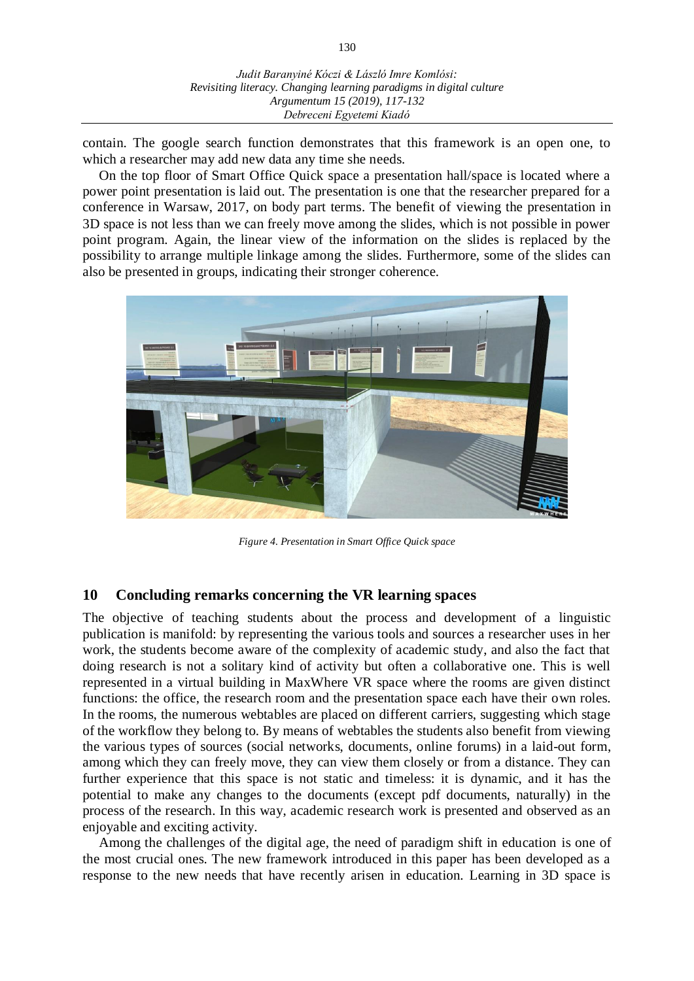contain. The google search function demonstrates that this framework is an open one, to which a researcher may add new data any time she needs.

On the top floor of Smart Office Quick space a presentation hall/space is located where a power point presentation is laid out. The presentation is one that the researcher prepared for a conference in Warsaw, 2017, on body part terms. The benefit of viewing the presentation in 3D space is not less than we can freely move among the slides, which is not possible in power point program. Again, the linear view of the information on the slides is replaced by the possibility to arrange multiple linkage among the slides. Furthermore, some of the slides can also be presented in groups, indicating their stronger coherence.



*Figure 4. Presentation in Smart Office Quick space*

# **10 Concluding remarks concerning the VR learning spaces**

The objective of teaching students about the process and development of a linguistic publication is manifold: by representing the various tools and sources a researcher uses in her work, the students become aware of the complexity of academic study, and also the fact that doing research is not a solitary kind of activity but often a collaborative one. This is well represented in a virtual building in MaxWhere VR space where the rooms are given distinct functions: the office, the research room and the presentation space each have their own roles. In the rooms, the numerous webtables are placed on different carriers, suggesting which stage of the workflow they belong to. By means of webtables the students also benefit from viewing the various types of sources (social networks, documents, online forums) in a laid-out form, among which they can freely move, they can view them closely or from a distance. They can further experience that this space is not static and timeless: it is dynamic, and it has the potential to make any changes to the documents (except pdf documents, naturally) in the process of the research. In this way, academic research work is presented and observed as an enjoyable and exciting activity.

Among the challenges of the digital age, the need of paradigm shift in education is one of the most crucial ones. The new framework introduced in this paper has been developed as a response to the new needs that have recently arisen in education. Learning in 3D space is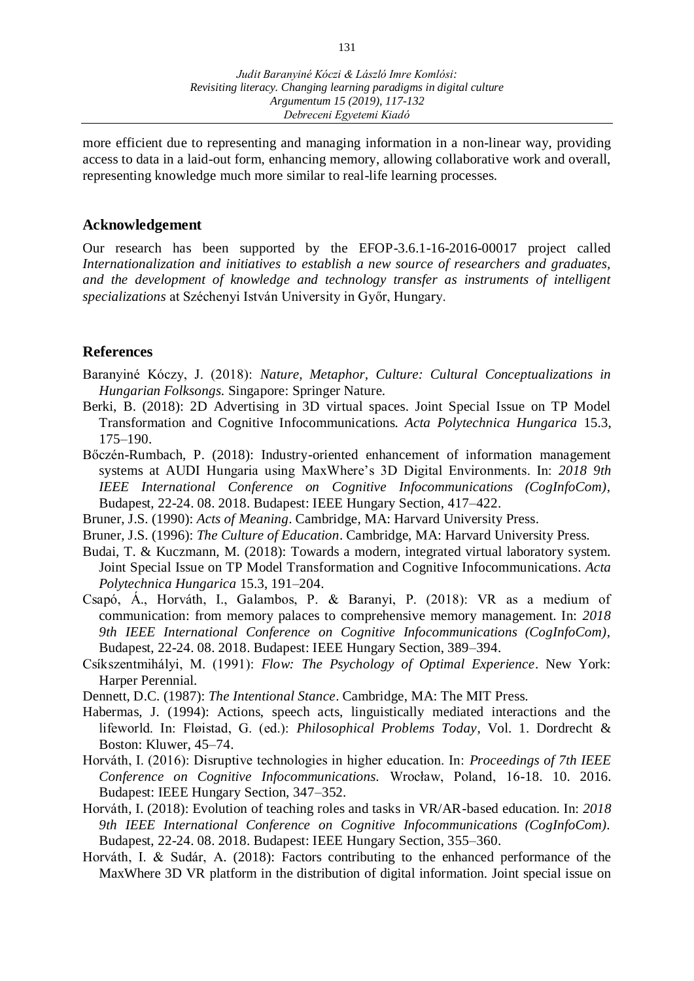more efficient due to representing and managing information in a non-linear way, providing access to data in a laid-out form, enhancing memory, allowing collaborative work and overall, representing knowledge much more similar to real-life learning processes.

### **Acknowledgement**

Our research has been supported by the EFOP-3.6.1-16-2016-00017 project called *Internationalization and initiatives to establish a new source of researchers and graduates, and the development of knowledge and technology transfer as instruments of intelligent specializations* at Széchenyi István University in Győr, Hungary.

# **References**

- Baranyiné Kóczy, J. (2018): *Nature, Metaphor, Culture: Cultural Conceptualizations in Hungarian Folksongs.* Singapore: Springer Nature.
- Berki, B. (2018): [2D Advertising in 3D virtual spaces. Joint Special Issue on TP Model](http://www.uni-obuda.hu/journal/Berki_82.pdf)  [Transformation and Cognitive Infocommunications.](http://www.uni-obuda.hu/journal/Berki_82.pdf) *Acta Polytechnica Hungarica* 15.3, 175–190.
- Bőczén-Rumbach, P. (2018): Industry-oriented enhancement of information management systems at AUDI Hungaria using MaxWhere's 3D Digital Environments. In: *2018 9th IEEE International Conference on Cognitive Infocommunications (CogInfoCom),*  Budapest, 22-24. 08. 2018. Budapest: IEEE Hungary Section, 417–422.
- Bruner, J.S. (1990): *Acts of Meaning*. Cambridge, MA: Harvard University Press.
- Bruner, J.S. (1996): *The Culture of Education*. Cambridge, MA: Harvard University Press.
- Budai, T. & Kuczmann, M. (2018): Towards a modern, integrated virtual laboratory system. Joint Special Issue on TP Model Transformation and Cognitive Infocommunications. *Acta Polytechnica Hungarica* 15.3, 191–204.
- Csapó, Á., Horváth, I., Galambos, P. & Baranyi, P. (2018): VR as a medium of communication: from memory palaces to comprehensive memory management. In: *2018 9th IEEE International Conference on Cognitive Infocommunications (CogInfoCom),*  Budapest, 22-24. 08. 2018. Budapest: IEEE Hungary Section, 389–394.
- Csíkszentmihályi, M. (1991): *Flow: The Psychology of Optimal Experience*. New York: Harper Perennial.
- Dennett, D.C. (1987): *The Intentional Stance*. Cambridge, MA: The MIT Press.
- Habermas, J. (1994): Actions, speech acts, linguistically mediated interactions and the lifeworld. In: Fløistad, G. (ed.): *Philosophical Problems Today*, Vol. 1. Dordrecht & Boston: Kluwer, 45–74.
- Horváth, I. (2016): Disruptive technologies in higher education. In: *Proceedings of 7th IEEE Conference on Cognitive Infocommunications.* Wrocław, Poland, 16-18. 10. 2016. Budapest: IEEE Hungary Section, 347–352.
- Horváth, I. (2018): Evolution of teaching roles and tasks in VR/AR-based education. In: *2018 9th IEEE International Conference on Cognitive Infocommunications (CogInfoCom).* Budapest, 22-24. 08. 2018. Budapest: IEEE Hungary Section, 355–360.
- Horváth, I. & Sudár, A. (2018): [Factors contributing to the enhanced performance of the](http://www.uni-obuda.hu/journal/Horvath_Sudar_82.pdf)  [MaxWhere 3D VR platform in the distribution of digital information. Joint special issue on](http://www.uni-obuda.hu/journal/Horvath_Sudar_82.pdf)